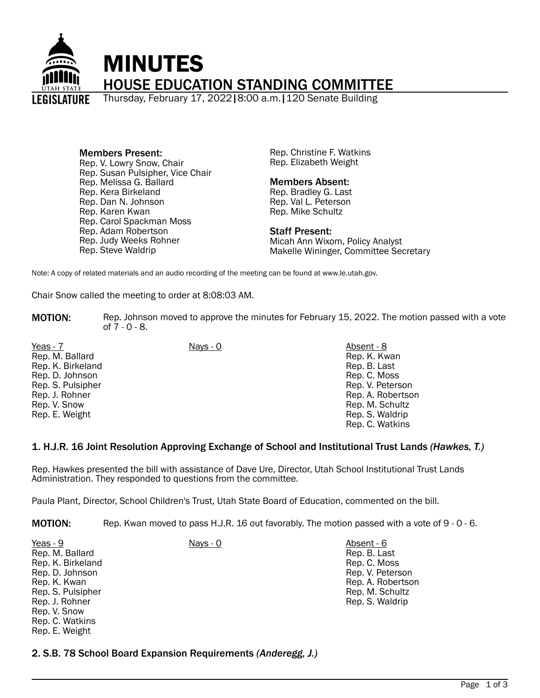

#### Members Present: Rep. V. Lowry Snow, Chair Rep. Susan Pulsipher, Vice Chair Rep. Melissa G. Ballard Rep. Kera Birkeland Rep. Dan N. Johnson Rep. Karen Kwan Rep. Carol Spackman Moss Rep. Adam Robertson Rep. Judy Weeks Rohner Rep. Steve Waldrip

Rep. Christine F. Watkins Rep. Elizabeth Weight

# Members Absent:

Rep. Bradley G. Last Rep. Val L. Peterson Rep. Mike Schultz

### Staff Present:

Micah Ann Wixom, Policy Analyst Makelle Wininger, Committee Secretary

Note: A copy of related materials and an audio recording of the meeting can be found at www.le.utah.gov.

Chair Snow called the meeting to order at 8:08:03 AM.

- **MOTION:** Rep. Johnson moved to approve the minutes for February 15, 2022. The motion passed with a vote of 7 - 0 - 8.
- Yeas 7 Nays 0 Absent 8 Rep. M. Ballard Rep. K. Birkeland Rep. D. Johnson Rep. S. Pulsipher Rep. J. Rohner Rep. V. Snow Rep. E. Weight
- - Rep. K. Kwan Rep. B. Last Rep. C. Moss Rep. V. Peterson Rep. A. Robertson Rep. M. Schultz Rep. S. Waldrip Rep. C. Watkins

# 1. H.J.R. 16 Joint Resolution Approving Exchange of School and Institutional Trust Lands *(Hawkes, T.)*

Rep. Hawkes presented the bill with assistance of Dave Ure, Director, Utah School Institutional Trust Lands Administration. They responded to questions from the committee.

Paula Plant, Director, School Children's Trust, Utah State Board of Education, commented on the bill.

MOTION: Rep. Kwan moved to pass H.J.R. 16 out favorably. The motion passed with a vote of 9 - 0 - 6.

| Yeas - 9          | Nays - 0 | Absent - 6 |
|-------------------|----------|------------|
| Rep. M. Ballard   |          | Rep. B. La |
| Rep. K. Birkeland |          | Rep. C. Mo |
| Rep. D. Johnson   |          | Rep. V. Pe |
| Rep. K. Kwan      |          | Rep. A. Ro |
| Rep. S. Pulsipher |          | Rep. M. So |
| Rep. J. Rohner    |          | Rep. S. Wa |
| Rep. V. Snow      |          |            |
| Rep. C. Watkins   |          |            |
| Rep. E. Weight    |          |            |

Rep. B. Last Rep. C. Moss Rep. V. Peterson Rep. A. Robertson Rep. M. Schultz Rep. S. Waldrip

2. S.B. 78 School Board Expansion Requirements *(Anderegg, J.)*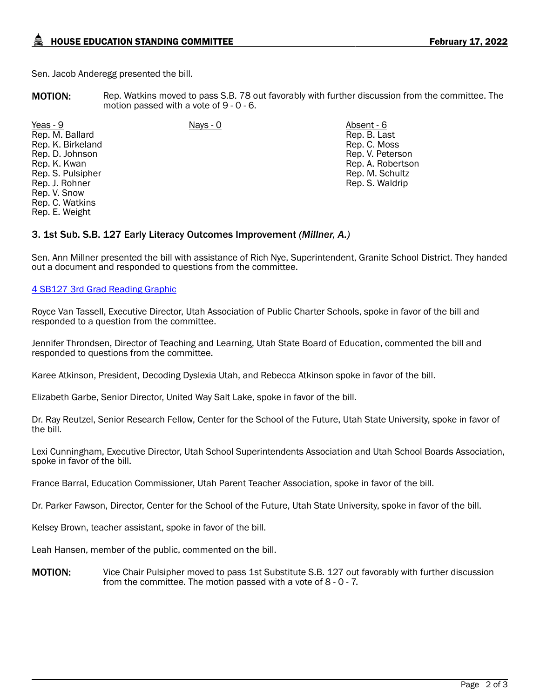Sen. Jacob Anderegg presented the bill.

MOTION: Rep. Watkins moved to pass S.B. 78 out favorably with further discussion from the committee. The motion passed with a vote of 9 - 0 - 6.

Yeas - 9 Nays - 0 Absent - 6 Rep. M. Ballard Rep. K. Birkeland Rep. D. Johnson Rep. K. Kwan Rep. S. Pulsipher Rep. J. Rohner Rep. V. Snow Rep. C. Watkins Rep. E. Weight

Rep. B. Last Rep. C. Moss Rep. V. Peterson Rep. A. Robertson Rep. M. Schultz Rep. S. Waldrip

# 3. 1st Sub. S.B. 127 Early Literacy Outcomes Improvement *(Millner, A.)*

Sen. Ann Millner presented the bill with assistance of Rich Nye, Superintendent, Granite School District. They handed out a document and responded to questions from the committee.

# [4 SB127 3rd Grad Reading Graphic](https://le.utah.gov/interim/2022/other/00001820.png)

Royce Van Tassell, Executive Director, Utah Association of Public Charter Schools, spoke in favor of the bill and responded to a question from the committee.

Jennifer Throndsen, Director of Teaching and Learning, Utah State Board of Education, commented the bill and responded to questions from the committee.

Karee Atkinson, President, Decoding Dyslexia Utah, and Rebecca Atkinson spoke in favor of the bill.

Elizabeth Garbe, Senior Director, United Way Salt Lake, spoke in favor of the bill.

Dr. Ray Reutzel, Senior Research Fellow, Center for the School of the Future, Utah State University, spoke in favor of the bill.

Lexi Cunningham, Executive Director, Utah School Superintendents Association and Utah School Boards Association, spoke in favor of the bill.

France Barral, Education Commissioner, Utah Parent Teacher Association, spoke in favor of the bill.

Dr. Parker Fawson, Director, Center for the School of the Future, Utah State University, spoke in favor of the bill.

Kelsey Brown, teacher assistant, spoke in favor of the bill.

Leah Hansen, member of the public, commented on the bill.

**MOTION:** Vice Chair Pulsipher moved to pass 1st Substitute S.B. 127 out favorably with further discussion from the committee. The motion passed with a vote of 8 - 0 - 7.